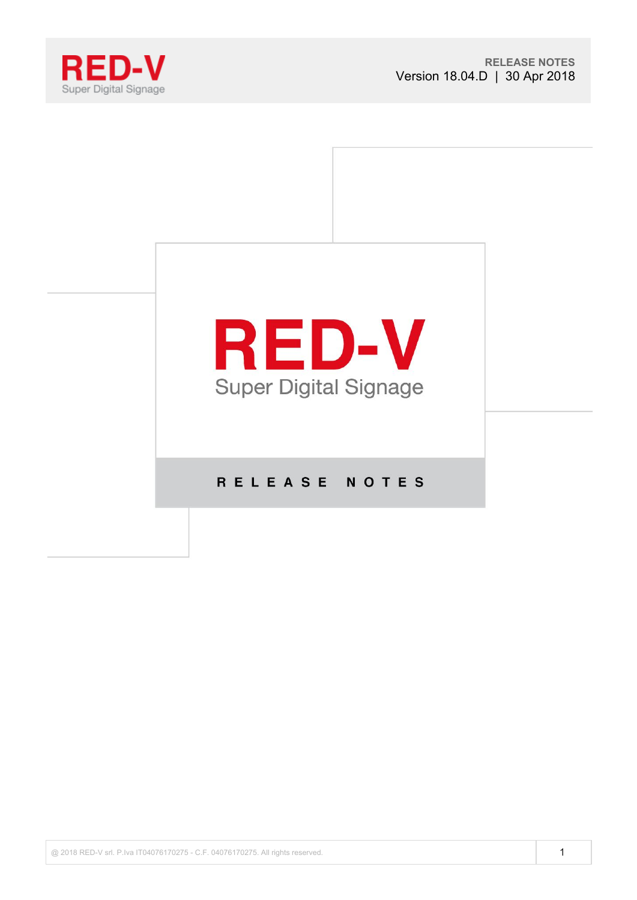



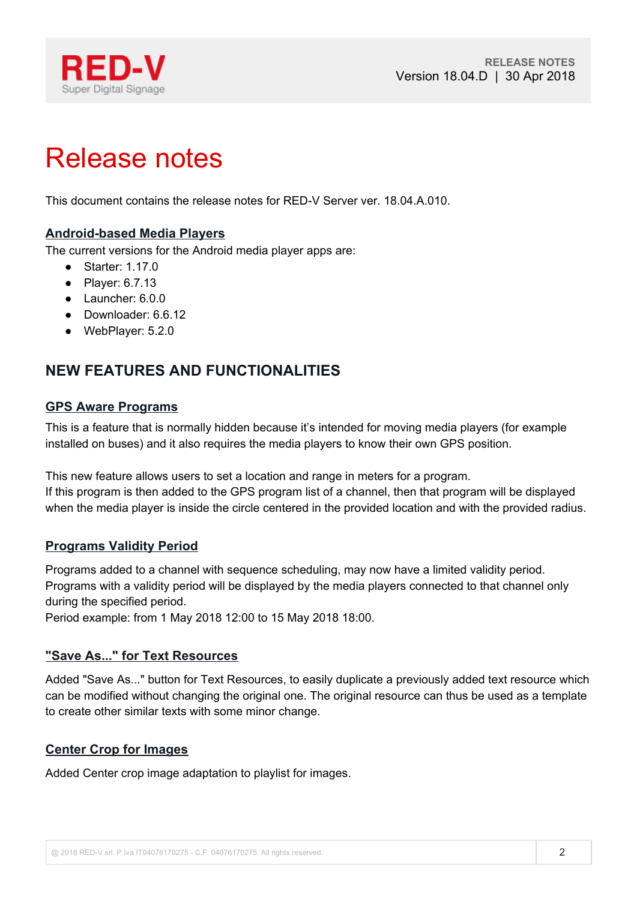

# Release notes

This document contains the release notes for RED-V Server ver. 18.04.A.010.

# **Android-based Media Players**

The current versions for the Android media player apps are:

- Starter: 1.17.0
- Player: 6.7.13
- Launcher: 6.0.0
- Downloader: 6.6.12
- WebPlayer: 5.2.0

# **NEW FEATURES AND FUNCTIONALITIES**

#### **GPS Aware Programs**

This is a feature that is normally hidden because it's intended for moving media players (for example installed on buses) and it also requires the media players to know their own GPS position.

This new feature allows users to set a location and range in meters for a program. If this program is then added to the GPS program list of a channel, then that program will be displayed when the media player is inside the circle centered in the provided location and with the provided radius.

# **Programs Validity Period**

Programs added to a channel with sequence scheduling, may now have a limited validity period. Programs with a validity period will be displayed by the media players connected to that channel only during the specified period.

Period example: from 1 May 2018 12:00 to 15 May 2018 18:00.

# **"Save As..." for Text Resources**

Added "Save As..." button for Text Resources, to easily duplicate a previously added text resource which can be modified without changing the original one. The original resource can thus be used as a template to create other similar texts with some minor change.

# **Center Crop for Images**

Added Center crop image adaptation to playlist for images.